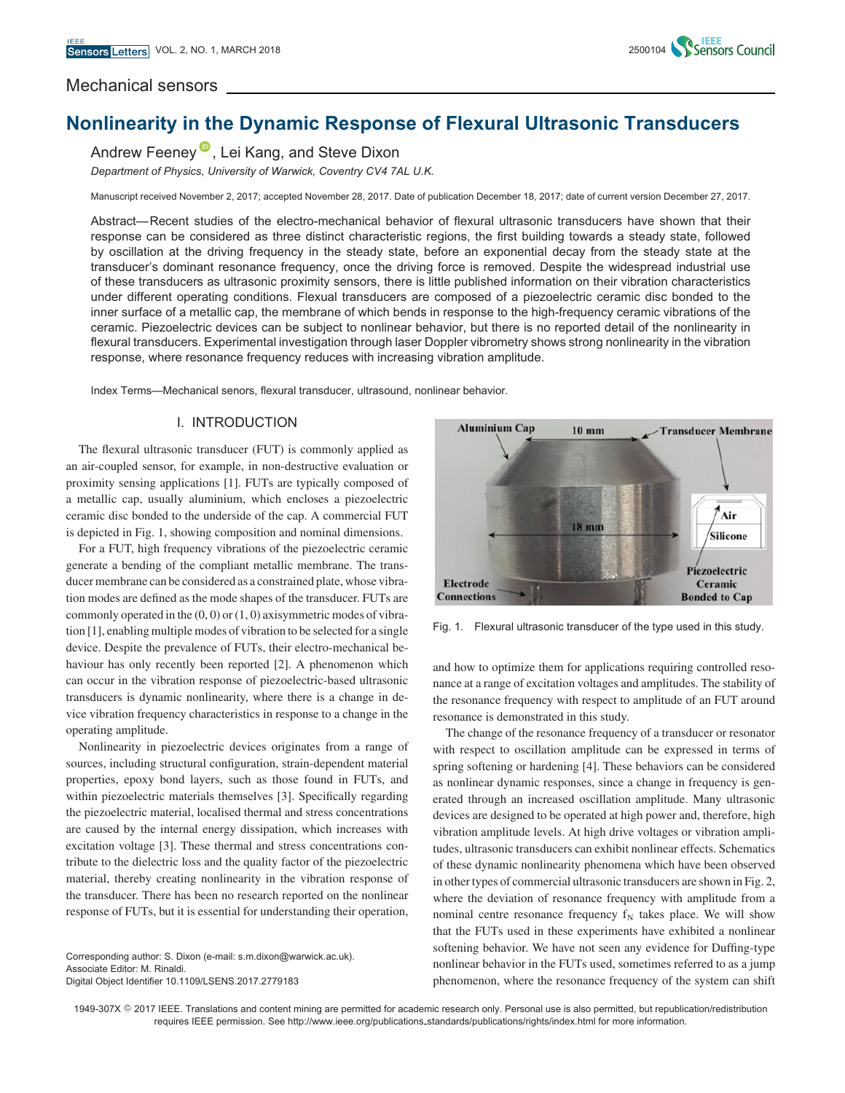

# Mechanical sensors

# **Nonlinearity in the Dynamic Response of Flexural Ultrasonic Transducers**

Andrew Feeney<sup>D</sup>[,](https://orcid.org/0000-0001-7170-1830) Lei Kang, and Steve Dixon

*Department of Physics, University of Warwick, Coventry CV4 7AL U.K.*

Manuscript received November 2, 2017; accepted November 28, 2017. Date of publication December 18, 2017; date of current version December 27, 2017.

Abstract—Recent studies of the electro-mechanical behavior of flexural ultrasonic transducers have shown that their response can be considered as three distinct characteristic regions, the first building towards a steady state, followed by oscillation at the driving frequency in the steady state, before an exponential decay from the steady state at the transducer's dominant resonance frequency, once the driving force is removed. Despite the widespread industrial use of these transducers as ultrasonic proximity sensors, there is little published information on their vibration characteristics under different operating conditions. Flexual transducers are composed of a piezoelectric ceramic disc bonded to the inner surface of a metallic cap, the membrane of which bends in response to the high-frequency ceramic vibrations of the ceramic. Piezoelectric devices can be subject to nonlinear behavior, but there is no reported detail of the nonlinearity in flexural transducers. Experimental investigation through laser Doppler vibrometry shows strong nonlinearity in the vibration response, where resonance frequency reduces with increasing vibration amplitude.

Index Terms—Mechanical senors, flexural transducer, ultrasound, nonlinear behavior.

## I. INTRODUCTION

The flexural ultrasonic transducer (FUT) is commonly applied as an air-coupled sensor, for example, in non-destructive evaluation or proximity sensing applications [1]. FUTs are typically composed of a metallic cap, usually aluminium, which encloses a piezoelectric ceramic disc bonded to the underside of the cap. A commercial FUT is depicted in Fig. 1, showing composition and nominal dimensions.

For a FUT, high frequency vibrations of the piezoelectric ceramic generate a bending of the compliant metallic membrane. The transducer membrane can be considered as a constrained plate, whose vibration modes are defined as the mode shapes of the transducer. FUTs are commonly operated in the  $(0, 0)$  or  $(1, 0)$  axisymmetric modes of vibration [1], enabling multiple modes of vibration to be selected for a single device. Despite the prevalence of FUTs, their electro-mechanical behaviour has only recently been reported [2]. A phenomenon which can occur in the vibration response of piezoelectric-based ultrasonic transducers is dynamic nonlinearity, where there is a change in device vibration frequency characteristics in response to a change in the operating amplitude.

Nonlinearity in piezoelectric devices originates from a range of sources, including structural configuration, strain-dependent material properties, epoxy bond layers, such as those found in FUTs, and within piezoelectric materials themselves [3]. Specifically regarding the piezoelectric material, localised thermal and stress concentrations are caused by the internal energy dissipation, which increases with excitation voltage [3]. These thermal and stress concentrations contribute to the dielectric loss and the quality factor of the piezoelectric material, thereby creating nonlinearity in the vibration response of the transducer. There has been no research reported on the nonlinear response of FUTs, but it is essential for understanding their operation,

Corresponding author: S. Dixon (e-mail: s.m.dixon@warwick.ac.uk). Associate Editor: M. Rinaldi. Digital Object Identifier 10.1109/LSENS.2017.2779183



Fig. 1. Flexural ultrasonic transducer of the type used in this study.

and how to optimize them for applications requiring controlled resonance at a range of excitation voltages and amplitudes. The stability of the resonance frequency with respect to amplitude of an FUT around resonance is demonstrated in this study.

The change of the resonance frequency of a transducer or resonator with respect to oscillation amplitude can be expressed in terms of spring softening or hardening [4]. These behaviors can be considered as nonlinear dynamic responses, since a change in frequency is generated through an increased oscillation amplitude. Many ultrasonic devices are designed to be operated at high power and, therefore, high vibration amplitude levels. At high drive voltages or vibration amplitudes, ultrasonic transducers can exhibit nonlinear effects. Schematics of these dynamic nonlinearity phenomena which have been observed in other types of commercial ultrasonic transducers are shown in Fig. 2, where the deviation of resonance frequency with amplitude from a nominal centre resonance frequency  $f_N$  takes place. We will show that the FUTs used in these experiments have exhibited a nonlinear softening behavior. We have not seen any evidence for Duffing-type nonlinear behavior in the FUTs used, sometimes referred to as a jump phenomenon, where the resonance frequency of the system can shift

1949-307X © 2017 IEEE. Translations and content mining are permitted for academic research only. Personal use is also permitted, but republication/redistribution requires IEEE permission. See http://www.ieee.org/publications standards/publications/rights/index.html for more information.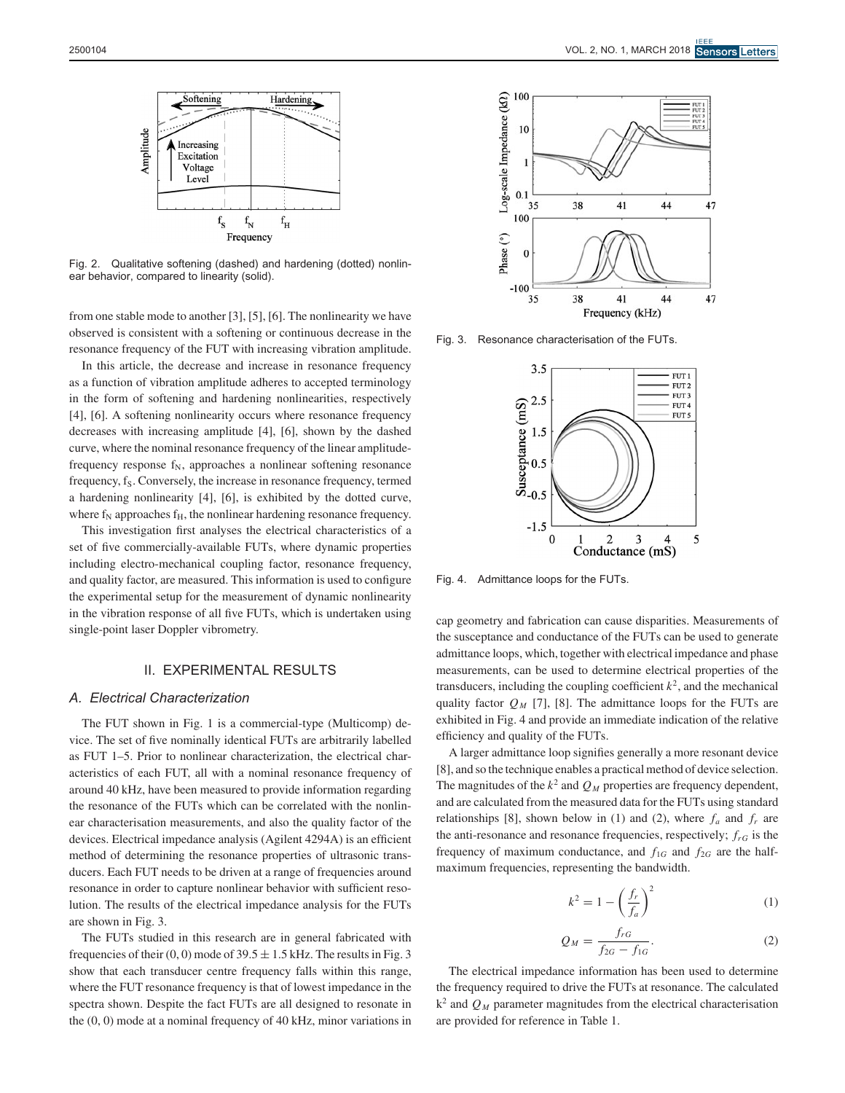

Fig. 2. Qualitative softening (dashed) and hardening (dotted) nonlinear behavior, compared to linearity (solid).

from one stable mode to another [3], [5], [6]. The nonlinearity we have observed is consistent with a softening or continuous decrease in the resonance frequency of the FUT with increasing vibration amplitude.

In this article, the decrease and increase in resonance frequency as a function of vibration amplitude adheres to accepted terminology in the form of softening and hardening nonlinearities, respectively [4], [6]. A softening nonlinearity occurs where resonance frequency decreases with increasing amplitude [4], [6], shown by the dashed curve, where the nominal resonance frequency of the linear amplitudefrequency response  $f_N$ , approaches a nonlinear softening resonance frequency, f<sub>S</sub>. Conversely, the increase in resonance frequency, termed a hardening nonlinearity [4], [6], is exhibited by the dotted curve, where  $f_N$  approaches  $f_H$ , the nonlinear hardening resonance frequency.

This investigation first analyses the electrical characteristics of a set of five commercially-available FUTs, where dynamic properties including electro-mechanical coupling factor, resonance frequency, and quality factor, are measured. This information is used to configure the experimental setup for the measurement of dynamic nonlinearity in the vibration response of all five FUTs, which is undertaken using single-point laser Doppler vibrometry.

# II. EXPERIMENTAL RESULTS

### *A. Electrical Characterization*

The FUT shown in Fig. 1 is a commercial-type (Multicomp) device. The set of five nominally identical FUTs are arbitrarily labelled as FUT 1–5. Prior to nonlinear characterization, the electrical characteristics of each FUT, all with a nominal resonance frequency of around 40 kHz, have been measured to provide information regarding the resonance of the FUTs which can be correlated with the nonlinear characterisation measurements, and also the quality factor of the devices. Electrical impedance analysis (Agilent 4294A) is an efficient method of determining the resonance properties of ultrasonic transducers. Each FUT needs to be driven at a range of frequencies around resonance in order to capture nonlinear behavior with sufficient resolution. The results of the electrical impedance analysis for the FUTs are shown in Fig. 3.

The FUTs studied in this research are in general fabricated with frequencies of their  $(0, 0)$  mode of  $39.5 \pm 1.5$  kHz. The results in Fig. 3 show that each transducer centre frequency falls within this range, where the FUT resonance frequency is that of lowest impedance in the spectra shown. Despite the fact FUTs are all designed to resonate in the (0, 0) mode at a nominal frequency of 40 kHz, minor variations in



Fig. 3. Resonance characterisation of the FUTs.



Fig. 4. Admittance loops for the FUTs.

cap geometry and fabrication can cause disparities. Measurements of the susceptance and conductance of the FUTs can be used to generate admittance loops, which, together with electrical impedance and phase measurements, can be used to determine electrical properties of the transducers, including the coupling coefficient  $k^2$ , and the mechanical quality factor  $Q_M$  [7], [8]. The admittance loops for the FUTs are exhibited in Fig. 4 and provide an immediate indication of the relative efficiency and quality of the FUTs.

A larger admittance loop signifies generally a more resonant device [8], and so the technique enables a practical method of device selection. The magnitudes of the  $k^2$  and  $Q_M$  properties are frequency dependent, and are calculated from the measured data for the FUTs using standard relationships [8], shown below in (1) and (2), where  $f_a$  and  $f_r$  are the anti-resonance and resonance frequencies, respectively;  $f_{rG}$  is the frequency of maximum conductance, and  $f_{1G}$  and  $f_{2G}$  are the halfmaximum frequencies, representing the bandwidth.

$$
k^2 = 1 - \left(\frac{f_r}{f_a}\right)^2\tag{1}
$$

$$
Q_M = \frac{f_{rG}}{f_{2G} - f_{1G}}.\tag{2}
$$

The electrical impedance information has been used to determine the frequency required to drive the FUTs at resonance. The calculated  $k^2$  and  $Q_M$  parameter magnitudes from the electrical characterisation are provided for reference in Table 1.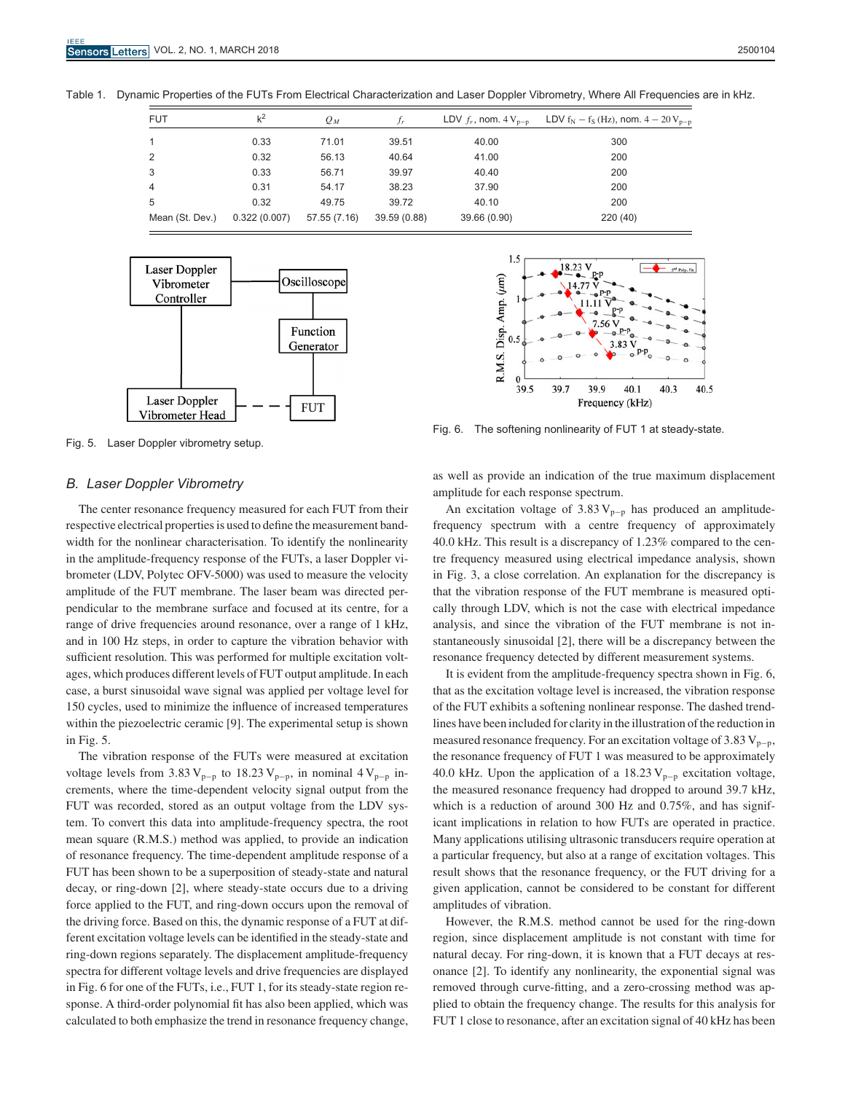Table 1. Dynamic Properties of the FUTs From Electrical Characterization and Laser Doppler Vibrometry, Where All Frequencies are in kHz.

| <b>FUT</b>      | $k^2$        | $Q_M$        | $f_r$        | LDV $f_r$ , nom. $4V_{n-n}$ | LDV $f_N - f_S$ (Hz), nom. $4 - 20 V_{p-p}$ |
|-----------------|--------------|--------------|--------------|-----------------------------|---------------------------------------------|
|                 | 0.33         | 71.01        | 39.51        | 40.00                       | 300                                         |
| 2               | 0.32         | 56.13        | 40.64        | 41.00                       | 200                                         |
| 3               | 0.33         | 56.71        | 39.97        | 40.40                       | 200                                         |
| 4               | 0.31         | 54.17        | 38.23        | 37.90                       | 200                                         |
| 5               | 0.32         | 49.75        | 39.72        | 40.10                       | 200                                         |
| Mean (St. Dev.) | 0.322(0.007) | 57.55 (7.16) | 39.59 (0.88) | 39.66 (0.90)                | 220 (40)                                    |



Fig. 5. Laser Doppler vibrometry setup.

# $1.5$ 3<sup>nd</sup> Poly, Fit R.M.S. Disp. Amp. (µm)  $\overline{0}$ 39.5 39.7 39.9 40.1 40.3 40.5 Frequency (kHz)

Fig. 6. The softening nonlinearity of FUT 1 at steady-state.

#### *B. Laser Doppler Vibrometry*

The center resonance frequency measured for each FUT from their respective electrical properties is used to define the measurement bandwidth for the nonlinear characterisation. To identify the nonlinearity in the amplitude-frequency response of the FUTs, a laser Doppler vibrometer (LDV, Polytec OFV-5000) was used to measure the velocity amplitude of the FUT membrane. The laser beam was directed perpendicular to the membrane surface and focused at its centre, for a range of drive frequencies around resonance, over a range of 1 kHz, and in 100 Hz steps, in order to capture the vibration behavior with sufficient resolution. This was performed for multiple excitation voltages, which produces different levels of FUT output amplitude. In each case, a burst sinusoidal wave signal was applied per voltage level for 150 cycles, used to minimize the influence of increased temperatures within the piezoelectric ceramic [9]. The experimental setup is shown in Fig. 5.

The vibration response of the FUTs were measured at excitation voltage levels from 3.83 V<sub>p-p</sub> to 18.23 V<sub>p-p</sub>, in nominal 4 V<sub>p-p</sub> increments, where the time-dependent velocity signal output from the FUT was recorded, stored as an output voltage from the LDV system. To convert this data into amplitude-frequency spectra, the root mean square (R.M.S.) method was applied, to provide an indication of resonance frequency. The time-dependent amplitude response of a FUT has been shown to be a superposition of steady-state and natural decay, or ring-down [2], where steady-state occurs due to a driving force applied to the FUT, and ring-down occurs upon the removal of the driving force. Based on this, the dynamic response of a FUT at different excitation voltage levels can be identified in the steady-state and ring-down regions separately. The displacement amplitude-frequency spectra for different voltage levels and drive frequencies are displayed in Fig. 6 for one of the FUTs, i.e., FUT 1, for its steady-state region response. A third-order polynomial fit has also been applied, which was calculated to both emphasize the trend in resonance frequency change,

as well as provide an indication of the true maximum displacement amplitude for each response spectrum.

An excitation voltage of  $3.83 V_{p-p}$  has produced an amplitudefrequency spectrum with a centre frequency of approximately 40.0 kHz. This result is a discrepancy of 1.23% compared to the centre frequency measured using electrical impedance analysis, shown in Fig. 3, a close correlation. An explanation for the discrepancy is that the vibration response of the FUT membrane is measured optically through LDV, which is not the case with electrical impedance analysis, and since the vibration of the FUT membrane is not instantaneously sinusoidal [2], there will be a discrepancy between the resonance frequency detected by different measurement systems.

It is evident from the amplitude-frequency spectra shown in Fig. 6, that as the excitation voltage level is increased, the vibration response of the FUT exhibits a softening nonlinear response. The dashed trendlines have been included for clarity in the illustration of the reduction in measured resonance frequency. For an excitation voltage of  $3.83 V_{p-p}$ , the resonance frequency of FUT 1 was measured to be approximately 40.0 kHz. Upon the application of a 18.23 V<sub>p-p</sub> excitation voltage, the measured resonance frequency had dropped to around 39.7 kHz, which is a reduction of around 300 Hz and 0.75%, and has significant implications in relation to how FUTs are operated in practice. Many applications utilising ultrasonic transducers require operation at a particular frequency, but also at a range of excitation voltages. This result shows that the resonance frequency, or the FUT driving for a given application, cannot be considered to be constant for different amplitudes of vibration.

However, the R.M.S. method cannot be used for the ring-down region, since displacement amplitude is not constant with time for natural decay. For ring-down, it is known that a FUT decays at resonance [2]. To identify any nonlinearity, the exponential signal was removed through curve-fitting, and a zero-crossing method was applied to obtain the frequency change. The results for this analysis for FUT 1 close to resonance, after an excitation signal of 40 kHz has been